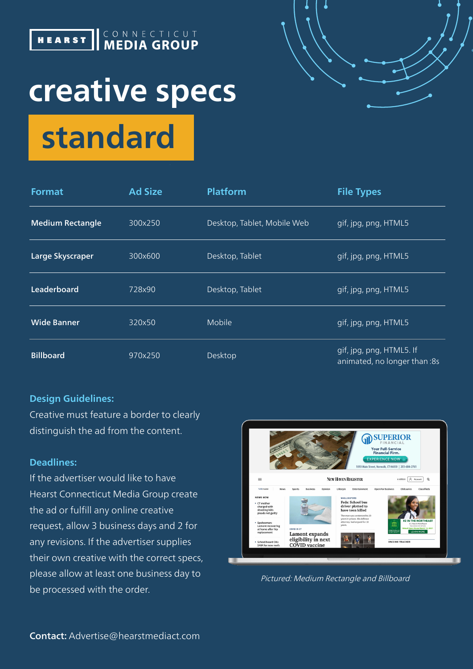

## **creative specs standard**



| <b>Format</b>           | <b>Ad Size</b> | <b>Platform</b>             | <b>File Types</b>                                        |
|-------------------------|----------------|-----------------------------|----------------------------------------------------------|
| <b>Medium Rectangle</b> | 300x250        | Desktop, Tablet, Mobile Web | gif, jpg, png, HTML5                                     |
| Large Skyscraper        | 300x600        | Desktop, Tablet             | gif, jpg, png, HTML5                                     |
| Leaderboard             | 728x90         | Desktop, Tablet             | gif, jpg, png, HTML5                                     |
| <b>Wide Banner</b>      | 320x50         | Mobile                      | gif, jpg, png, HTML5                                     |
| <b>Billboard</b>        | 970x250        | Desktop                     | gif, jpg, png, HTML5. If<br>animated, no longer than :8s |

#### **Design Guidelines:**

Creative must feature a border to clearly distinguish the ad from the content.

#### **Deadlines:**

If the advertiser would like to have Hearst Connecticut Media Group create the ad or fulfill any online creative request, allow 3 business days and 2 for any revisions. If the advertiser supplies their own creative with the correct specs, please allow at least one business day to be processed with the order.



Pictured: Medium Rectangle and Billboard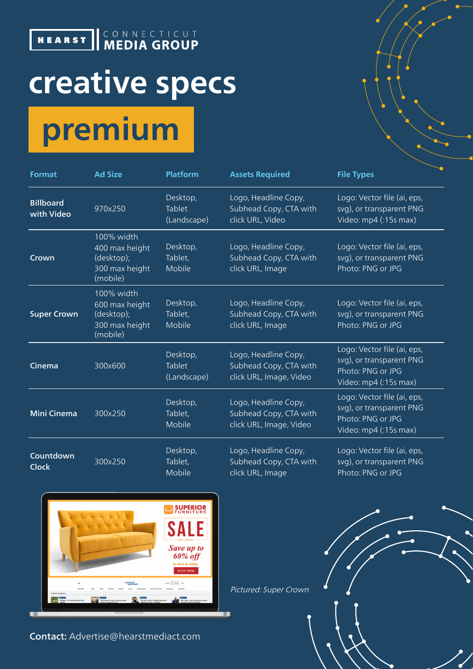### **HEARST KEDIA GROUP**

# **creative specs premium**

| <b>Format</b>                  | <b>Ad Size</b>                                                           | <b>Platform</b>                   | <b>Assets Required</b>                                                    | <b>File Types</b>                                                                                     |
|--------------------------------|--------------------------------------------------------------------------|-----------------------------------|---------------------------------------------------------------------------|-------------------------------------------------------------------------------------------------------|
| <b>Billboard</b><br>with Video | 970x250                                                                  | Desktop,<br>Tablet<br>(Landscape) | Logo, Headline Copy,<br>Subhead Copy, CTA with<br>click URL, Video        | Logo: Vector file (ai, eps,<br>svg), or transparent PNG<br>Video: mp4 (:15s max)                      |
| Crown                          | 100% width<br>400 max height<br>(desktop);<br>300 max height<br>(mobile) | Desktop,<br>Tablet,<br>Mobile     | Logo, Headline Copy,<br>Subhead Copy, CTA with<br>click URL, Image        | Logo: Vector file (ai, eps,<br>svg), or transparent PNG<br>Photo: PNG or JPG                          |
| <b>Super Crown</b>             | 100% width<br>600 max height<br>(desktop);<br>300 max height<br>(mobile) | Desktop,<br>Tablet,<br>Mobile     | Logo, Headline Copy,<br>Subhead Copy, CTA with<br>click URL, Image        | Logo: Vector file (ai, eps,<br>svg), or transparent PNG<br>Photo: PNG or JPG                          |
| Cinema                         | 300x600                                                                  | Desktop,<br>Tablet<br>(Landscape) | Logo, Headline Copy,<br>Subhead Copy, CTA with<br>click URL, Image, Video | Logo: Vector file (ai, eps,<br>svg), or transparent PNG<br>Photo: PNG or JPG<br>Video: mp4 (:15s max) |
| <b>Mini Cinema</b>             | 300x250                                                                  | Desktop,<br>Tablet,<br>Mobile     | Logo, Headline Copy,<br>Subhead Copy, CTA with<br>click URL, Image, Video | Logo: Vector file (ai, eps,<br>svg), or transparent PNG<br>Photo: PNG or JPG<br>Video: mp4 (:15s max) |
| Countdown<br><b>Clock</b>      | 300x250                                                                  | Desktop,<br>Tablet,<br>Mobile     | Logo, Headline Copy,<br>Subhead Copy, CTA with<br>click URL, Image        | Logo: Vector file (ai, eps,<br>svg), or transparent PNG<br>Photo: PNG or JPG                          |

Pictured: Super Crown

 $\overline{\phantom{a}}$ 



Contact: Advertise@hearstmediact.com